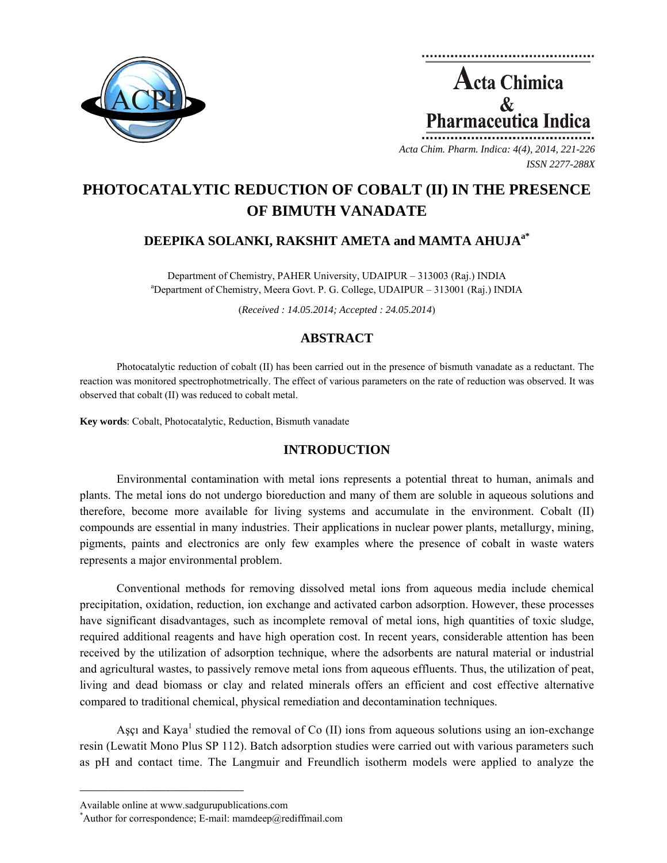

**Acta Chimica**  $\mathcal{R}_{\mathcal{L}}$ **Pharmaceutica Indica** 

*Acta Chim. Pharm. Indica: 4(4), 2014, 221-226 ISSN 2277-288X*

# **PHOTOCATALYTIC REDUCTION OF COBALT (II) IN THE PRESENCE OF BIMUTH VANADATE**

## **DEEPIKA SOLANKI, RAKSHIT AMETA and MAMTA AHUJAa\***

Department of Chemistry, PAHER University, UDAIPUR – 313003 (Raj.) INDIA a Department of Chemistry, Meera Govt. P. G. College, UDAIPUR – 313001 (Raj.) INDIA

(*Received : 14.05.2014; Accepted : 24.05.2014*)

## **ABSTRACT**

Photocatalytic reduction of cobalt (II) has been carried out in the presence of bismuth vanadate as a reductant. The reaction was monitored spectrophotmetrically. The effect of various parameters on the rate of reduction was observed. It was observed that cobalt (II) was reduced to cobalt metal.

**Key words**: Cobalt, Photocatalytic, Reduction, Bismuth vanadate

## **INTRODUCTION**

Environmental contamination with metal ions represents a potential threat to human, animals and plants. The metal ions do not undergo bioreduction and many of them are soluble in aqueous solutions and therefore, become more available for living systems and accumulate in the environment. Cobalt (II) compounds are essential in many industries. Their applications in nuclear power plants, metallurgy, mining, pigments, paints and electronics are only few examples where the presence of cobalt in waste waters represents a major environmental problem.

Conventional methods for removing dissolved metal ions from aqueous media include chemical precipitation, oxidation, reduction, ion exchange and activated carbon adsorption. However, these processes have significant disadvantages, such as incomplete removal of metal ions, high quantities of toxic sludge, required additional reagents and have high operation cost. In recent years, considerable attention has been received by the utilization of adsorption technique, where the adsorbents are natural material or industrial and agricultural wastes, to passively remove metal ions from aqueous effluents. Thus, the utilization of peat, living and dead biomass or clay and related minerals offers an efficient and cost effective alternative compared to traditional chemical, physical remediation and decontamination techniques.

Aşçı and Kaya<sup>1</sup> studied the removal of Co (II) ions from aqueous solutions using an ion-exchange resin (Lewatit Mono Plus SP 112). Batch adsorption studies were carried out with various parameters such as pH and contact time. The Langmuir and Freundlich isotherm models were applied to analyze the

**\_\_\_\_\_\_\_\_\_\_\_\_\_\_\_\_\_\_\_\_\_\_\_\_\_\_\_\_\_\_\_\_\_\_\_\_\_\_\_\_**

Available online at www.sadgurupublications.com \*

<sup>\*</sup>Author for correspondence; E-mail: mamdeep@rediffmail.com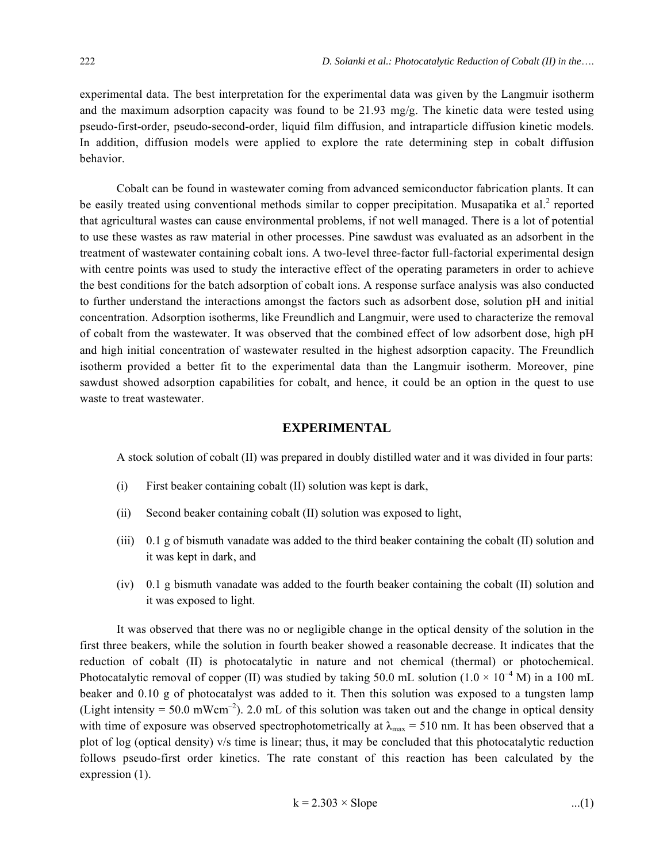experimental data. The best interpretation for the experimental data was given by the Langmuir isotherm and the maximum adsorption capacity was found to be 21.93 mg/g. The kinetic data were tested using pseudo-first-order, pseudo-second-order, liquid film diffusion, and intraparticle diffusion kinetic models. In addition, diffusion models were applied to explore the rate determining step in cobalt diffusion behavior.

Cobalt can be found in wastewater coming from advanced semiconductor fabrication plants. It can be easily treated using conventional methods similar to copper precipitation. Musapatika et al.<sup>2</sup> reported that agricultural wastes can cause environmental problems, if not well managed. There is a lot of potential to use these wastes as raw material in other processes. Pine sawdust was evaluated as an adsorbent in the treatment of wastewater containing cobalt ions. A two-level three-factor full-factorial experimental design with centre points was used to study the interactive effect of the operating parameters in order to achieve the best conditions for the batch adsorption of cobalt ions. A response surface analysis was also conducted to further understand the interactions amongst the factors such as adsorbent dose, solution pH and initial concentration. Adsorption isotherms, like Freundlich and Langmuir, were used to characterize the removal of cobalt from the wastewater. It was observed that the combined effect of low adsorbent dose, high pH and high initial concentration of wastewater resulted in the highest adsorption capacity. The Freundlich isotherm provided a better fit to the experimental data than the Langmuir isotherm. Moreover, pine sawdust showed adsorption capabilities for cobalt, and hence, it could be an option in the quest to use waste to treat wastewater.

#### **EXPERIMENTAL**

A stock solution of cobalt (II) was prepared in doubly distilled water and it was divided in four parts:

- (i) First beaker containing cobalt (II) solution was kept is dark,
- (ii) Second beaker containing cobalt (II) solution was exposed to light,
- (iii) 0.1 g of bismuth vanadate was added to the third beaker containing the cobalt (II) solution and it was kept in dark, and
- (iv) 0.1 g bismuth vanadate was added to the fourth beaker containing the cobalt (II) solution and it was exposed to light.

It was observed that there was no or negligible change in the optical density of the solution in the first three beakers, while the solution in fourth beaker showed a reasonable decrease. It indicates that the reduction of cobalt (II) is photocatalytic in nature and not chemical (thermal) or photochemical. Photocatalytic removal of copper (II) was studied by taking 50.0 mL solution ( $1.0 \times 10^{-4}$  M) in a 100 mL beaker and 0.10 g of photocatalyst was added to it. Then this solution was exposed to a tungsten lamp (Light intensity = 50.0 mWcm<sup>-2</sup>). 2.0 mL of this solution was taken out and the change in optical density with time of exposure was observed spectrophotometrically at  $\lambda_{\text{max}} = 510$  nm. It has been observed that a plot of log (optical density) v/s time is linear; thus, it may be concluded that this photocatalytic reduction follows pseudo-first order kinetics. The rate constant of this reaction has been calculated by the expression (1).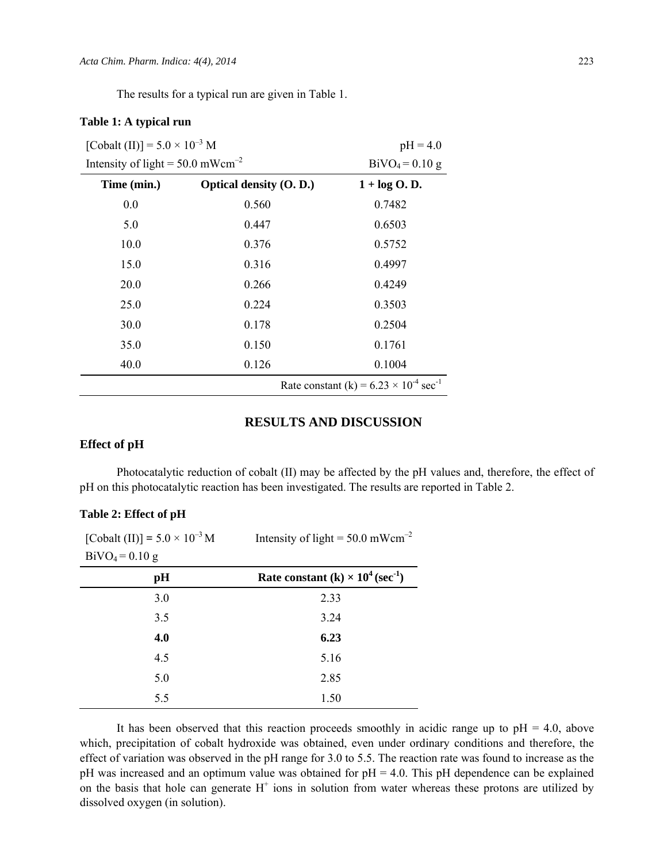The results for a typical run are given in Table 1.

#### **Table 1: A typical run**

| [Cobalt (II)] = $5.0 \times 10^{-3}$ M         |                                | $pH = 4.0$                                                  |
|------------------------------------------------|--------------------------------|-------------------------------------------------------------|
| Intensity of light = $50.0$ mWcm <sup>-2</sup> |                                | $BiVO4 = 0.10 g$                                            |
| Time (min.)                                    | <b>Optical density (O. D.)</b> | $1 + \log O$ . D.                                           |
| 0.0                                            | 0.560                          | 0.7482                                                      |
| 5.0                                            | 0.447                          | 0.6503                                                      |
| 10.0                                           | 0.376                          | 0.5752                                                      |
| 15.0                                           | 0.316                          | 0.4997                                                      |
| 20.0                                           | 0.266                          | 0.4249                                                      |
| 25.0                                           | 0.224                          | 0.3503                                                      |
| 30.0                                           | 0.178                          | 0.2504                                                      |
| 35.0                                           | 0.150                          | 0.1761                                                      |
| 40.0                                           | 0.126                          | 0.1004                                                      |
|                                                |                                | Rate constant (k) = $6.23 \times 10^{-4}$ sec <sup>-1</sup> |

## **RESULTS AND DISCUSSION**

### **Effect of pH**

Photocatalytic reduction of cobalt (ІІ) may be affected by the pH values and, therefore, the effect of pH on this photocatalytic reaction has been investigated. The results are reported in Table 2.

| [Cobalt (II)] = $5.0 \times 10^{-3}$ M | Intensity of light = $50.0$ mWcm <sup>-2</sup>       |
|----------------------------------------|------------------------------------------------------|
| $BiVO_4 = 0.10 g$                      |                                                      |
| pH                                     | Rate constant (k) $\times 10^4$ (sec <sup>-1</sup> ) |
| 3.0                                    | 2.33                                                 |
| 3.5                                    | 3.24                                                 |
| 4.0                                    | 6.23                                                 |
| 4.5                                    | 5.16                                                 |
| 5.0                                    | 2.85                                                 |
| 5.5                                    | 1.50                                                 |

It has been observed that this reaction proceeds smoothly in acidic range up to  $pH = 4.0$ , above which, precipitation of cobalt hydroxide was obtained, even under ordinary conditions and therefore, the effect of variation was observed in the pH range for 3.0 to 5.5. The reaction rate was found to increase as the pH was increased and an optimum value was obtained for pH = 4.0. This pH dependence can be explained on the basis that hole can generate  $H^+$  ions in solution from water whereas these protons are utilized by dissolved oxygen (in solution).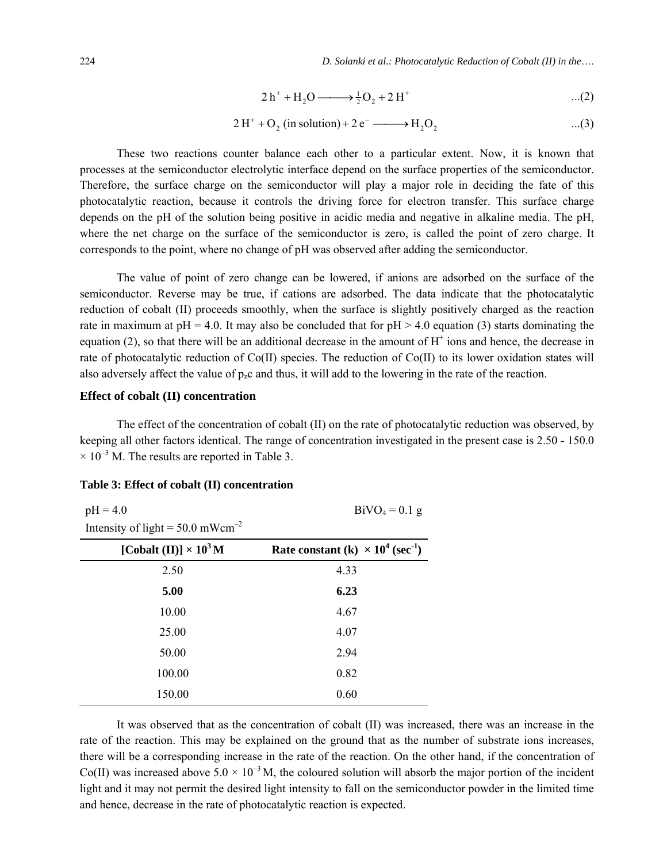224 *D. Solanki et al.: Photocatalytic Reduction of Cobalt (II) in the*….

$$
2\ h^{+} + H_{2}O \longrightarrow \frac{1}{2}O_{2} + 2\ H^{+}
$$
...(2)

$$
2 H+ + O2 (in solution) + 2 e- \longrightarrow H2O2 ...(3)
$$

These two reactions counter balance each other to a particular extent. Now, it is known that processes at the semiconductor electrolytic interface depend on the surface properties of the semiconductor. Therefore, the surface charge on the semiconductor will play a major role in deciding the fate of this photocatalytic reaction, because it controls the driving force for electron transfer. This surface charge depends on the pH of the solution being positive in acidic media and negative in alkaline media. The pH, where the net charge on the surface of the semiconductor is zero, is called the point of zero charge. It corresponds to the point, where no change of pH was observed after adding the semiconductor.

The value of point of zero change can be lowered, if anions are adsorbed on the surface of the semiconductor. Reverse may be true, if cations are adsorbed. The data indicate that the photocatalytic reduction of cobalt (II) proceeds smoothly, when the surface is slightly positively charged as the reaction rate in maximum at  $pH = 4.0$ . It may also be concluded that for  $pH > 4.0$  equation (3) starts dominating the equation  $(2)$ , so that there will be an additional decrease in the amount of  $H^+$  ions and hence, the decrease in rate of photocatalytic reduction of Co(ІІ) species. The reduction of Co(ІІ) to its lower oxidation states will also adversely affect the value of  $p_zc$  and thus, it will add to the lowering in the rate of the reaction.

#### **Effect of cobalt (II) concentration**

The effect of the concentration of cobalt (II) on the rate of photocatalytic reduction was observed, by keeping all other factors identical. The range of concentration investigated in the present case is 2.50 - 150.0  $\times$  10<sup>-3</sup> M. The results are reported in Table 3.

#### **Table 3: Effect of cobalt (II) concentration**

| $pH = 4.0$                                     | $BiVO_4 = 0.1$ g                                     |
|------------------------------------------------|------------------------------------------------------|
| Intensity of light = $50.0$ mWcm <sup>-2</sup> |                                                      |
| [Cobalt (II)] $\times 10^3$ M                  | Rate constant (k) $\times 10^4$ (sec <sup>-1</sup> ) |
| 2.50                                           | 4.33                                                 |
| 5.00                                           | 6.23                                                 |
| 10.00                                          | 4.67                                                 |
| 25.00                                          | 4.07                                                 |
| 50.00                                          | 2.94                                                 |
| 100.00                                         | 0.82                                                 |
| 150.00                                         | 0.60                                                 |

It was observed that as the concentration of cobalt (II) was increased, there was an increase in the rate of the reaction. This may be explained on the ground that as the number of substrate ions increases, there will be a corresponding increase in the rate of the reaction. On the other hand, if the concentration of Co(II) was increased above  $5.0 \times 10^{-3}$  M, the coloured solution will absorb the major portion of the incident light and it may not permit the desired light intensity to fall on the semiconductor powder in the limited time and hence, decrease in the rate of photocatalytic reaction is expected.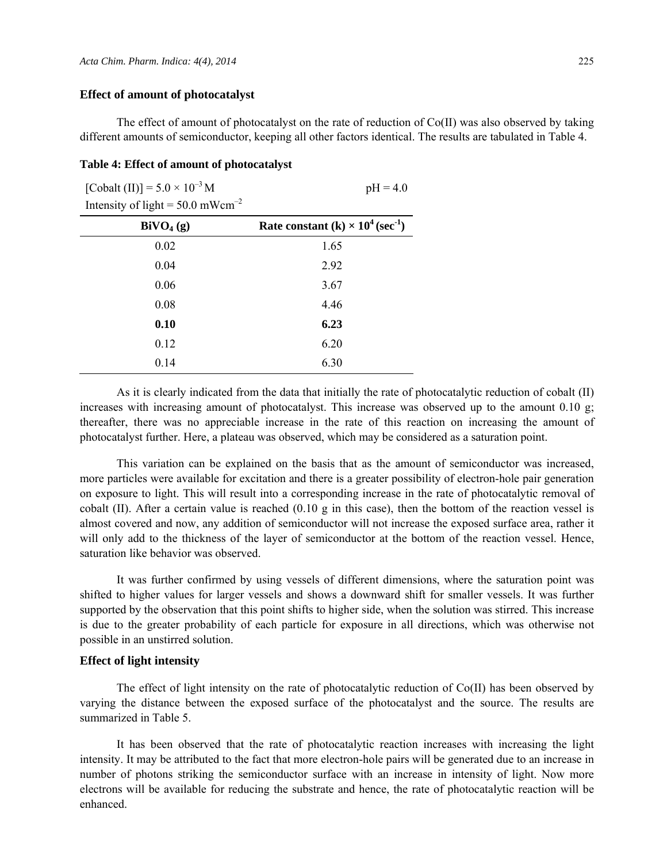#### **Effect of amount of photocatalyst**

The effect of amount of photocatalyst on the rate of reduction of  $Co(II)$  was also observed by taking different amounts of semiconductor, keeping all other factors identical. The results are tabulated in Table 4.

#### **Table 4: Effect of amount of photocatalyst**

| [Cobalt (II)] = $5.0 \times 10^{-3}$ M         | $pH = 4.0$                                           |
|------------------------------------------------|------------------------------------------------------|
| Intensity of light = $50.0$ mWcm <sup>-2</sup> |                                                      |
| $\text{BiVO}_4\text{ (g)}$                     | Rate constant (k) $\times 10^4$ (sec <sup>-1</sup> ) |
| 0.02                                           | 1.65                                                 |
| 0.04                                           | 2.92                                                 |
| 0.06                                           | 3.67                                                 |
| 0.08                                           | 4.46                                                 |
| 0.10                                           | 6.23                                                 |
| 0.12                                           | 6.20                                                 |
| 0.14                                           | 6.30                                                 |

As it is clearly indicated from the data that initially the rate of photocatalytic reduction of cobalt (ІІ) increases with increasing amount of photocatalyst. This increase was observed up to the amount 0.10 g; thereafter, there was no appreciable increase in the rate of this reaction on increasing the amount of photocatalyst further. Here, a plateau was observed, which may be considered as a saturation point.

This variation can be explained on the basis that as the amount of semiconductor was increased, more particles were available for excitation and there is a greater possibility of electron-hole pair generation on exposure to light. This will result into a corresponding increase in the rate of photocatalytic removal of cobalt (II). After a certain value is reached  $(0.10 \text{ g}$  in this case), then the bottom of the reaction vessel is almost covered and now, any addition of semiconductor will not increase the exposed surface area, rather it will only add to the thickness of the layer of semiconductor at the bottom of the reaction vessel. Hence, saturation like behavior was observed.

It was further confirmed by using vessels of different dimensions, where the saturation point was shifted to higher values for larger vessels and shows a downward shift for smaller vessels. It was further supported by the observation that this point shifts to higher side, when the solution was stirred. This increase is due to the greater probability of each particle for exposure in all directions, which was otherwise not possible in an unstirred solution.

#### **Effect of light intensity**

The effect of light intensity on the rate of photocatalytic reduction of Co(II) has been observed by varying the distance between the exposed surface of the photocatalyst and the source. The results are summarized in Table 5.

It has been observed that the rate of photocatalytic reaction increases with increasing the light intensity. It may be attributed to the fact that more electron-hole pairs will be generated due to an increase in number of photons striking the semiconductor surface with an increase in intensity of light. Now more electrons will be available for reducing the substrate and hence, the rate of photocatalytic reaction will be enhanced.